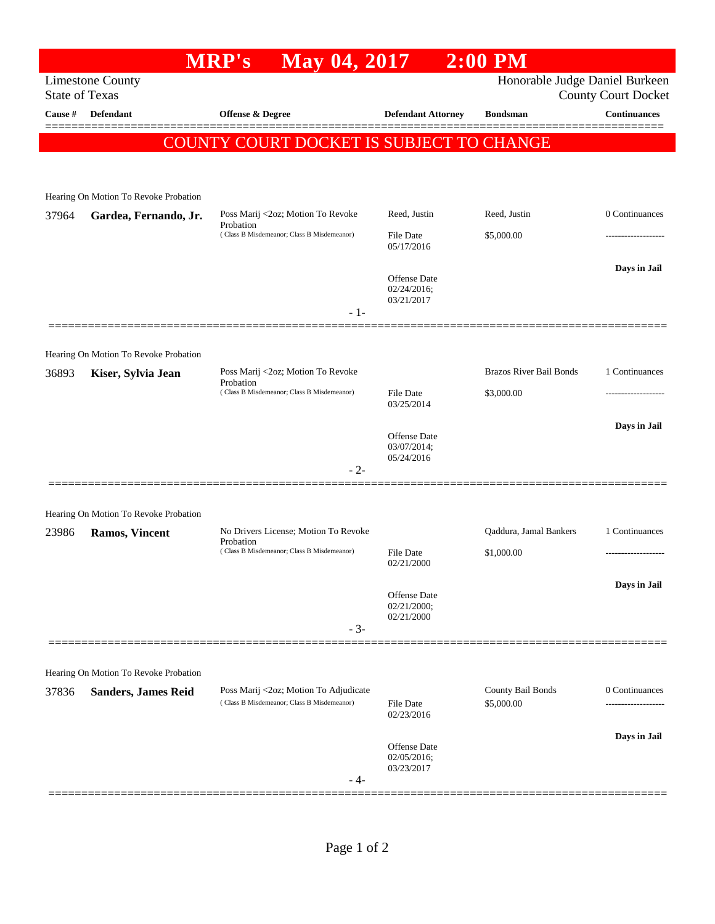|                                                                                                                  |                                                                | <b>MRP's</b><br>May 04, 2017                                                        |                                           | $2:00$ PM                       |                     |  |  |  |
|------------------------------------------------------------------------------------------------------------------|----------------------------------------------------------------|-------------------------------------------------------------------------------------|-------------------------------------------|---------------------------------|---------------------|--|--|--|
| <b>Limestone County</b><br>Honorable Judge Daniel Burkeen<br><b>State of Texas</b><br><b>County Court Docket</b> |                                                                |                                                                                     |                                           |                                 |                     |  |  |  |
| Cause #                                                                                                          | <b>Defendant</b>                                               | <b>Offense &amp; Degree</b>                                                         | <b>Defendant Attorney</b>                 | <b>Bondsman</b>                 | <b>Continuances</b> |  |  |  |
|                                                                                                                  |                                                                | COUNTY COURT DOCKET IS SUBJECT TO CHANGE                                            |                                           |                                 |                     |  |  |  |
|                                                                                                                  |                                                                |                                                                                     |                                           |                                 |                     |  |  |  |
|                                                                                                                  | Hearing On Motion To Revoke Probation                          |                                                                                     |                                           |                                 |                     |  |  |  |
| 37964                                                                                                            | Gardea, Fernando, Jr.                                          | Poss Marij <2oz; Motion To Revoke                                                   | Reed, Justin                              | Reed, Justin                    | 0 Continuances      |  |  |  |
|                                                                                                                  |                                                                | Probation<br>(Class B Misdemeanor; Class B Misdemeanor)                             | <b>File Date</b><br>05/17/2016            | \$5,000.00                      |                     |  |  |  |
|                                                                                                                  |                                                                |                                                                                     | Offense Date<br>02/24/2016;<br>03/21/2017 |                                 | Days in Jail        |  |  |  |
|                                                                                                                  |                                                                | $-1-$                                                                               |                                           |                                 |                     |  |  |  |
|                                                                                                                  |                                                                |                                                                                     |                                           |                                 |                     |  |  |  |
| 36893                                                                                                            | Hearing On Motion To Revoke Probation<br>Kiser, Sylvia Jean    | Poss Marij <2oz; Motion To Revoke                                                   |                                           | <b>Brazos River Bail Bonds</b>  | 1 Continuances      |  |  |  |
|                                                                                                                  |                                                                | Probation<br>(Class B Misdemeanor; Class B Misdemeanor)                             | <b>File Date</b><br>03/25/2014            | \$3,000.00                      |                     |  |  |  |
|                                                                                                                  |                                                                |                                                                                     | <b>Offense</b> Date<br>03/07/2014;        |                                 | Days in Jail        |  |  |  |
|                                                                                                                  |                                                                | $-2-$                                                                               | 05/24/2016                                |                                 |                     |  |  |  |
|                                                                                                                  |                                                                |                                                                                     |                                           |                                 |                     |  |  |  |
| 23986                                                                                                            | Hearing On Motion To Revoke Probation<br><b>Ramos, Vincent</b> | No Drivers License; Motion To Revoke                                                |                                           | Qaddura, Jamal Bankers          | 1 Continuances      |  |  |  |
|                                                                                                                  |                                                                | Probation<br>(Class B Misdemeanor; Class B Misdemeanor)                             | <b>File Date</b><br>02/21/2000            | \$1,000.00                      |                     |  |  |  |
|                                                                                                                  |                                                                |                                                                                     | <b>Offense</b> Date                       |                                 | Days in Jail        |  |  |  |
|                                                                                                                  |                                                                |                                                                                     | 02/21/2000;<br>02/21/2000                 |                                 |                     |  |  |  |
|                                                                                                                  |                                                                | $-3-$                                                                               |                                           |                                 |                     |  |  |  |
|                                                                                                                  | Hearing On Motion To Revoke Probation                          |                                                                                     |                                           |                                 |                     |  |  |  |
| 37836                                                                                                            | <b>Sanders, James Reid</b>                                     | Poss Marij <2oz; Motion To Adjudicate<br>(Class B Misdemeanor; Class B Misdemeanor) | File Date<br>02/23/2016                   | County Bail Bonds<br>\$5,000.00 | 0 Continuances<br>. |  |  |  |
|                                                                                                                  |                                                                |                                                                                     |                                           |                                 | Days in Jail        |  |  |  |
|                                                                                                                  |                                                                | - 4-                                                                                | Offense Date<br>02/05/2016;<br>03/23/2017 |                                 |                     |  |  |  |
|                                                                                                                  |                                                                |                                                                                     |                                           |                                 |                     |  |  |  |